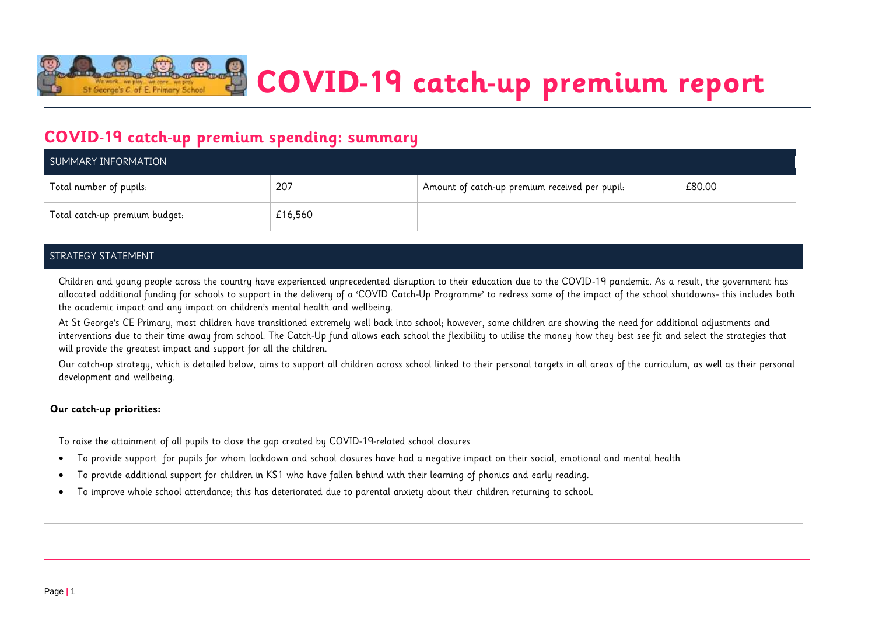

**COVID-19 catch-up premium report**

### **COVID-19 catch-up premium spending: summary**

| SUMMARY INFORMATION            |         |                                                |        |  |
|--------------------------------|---------|------------------------------------------------|--------|--|
| Total number of pupils:        | 207     | Amount of catch-up premium received per pupil: | £80.00 |  |
| Total catch-up premium budget: | £16,560 |                                                |        |  |

#### STRATEGY STATEMENT

Children and young people across the country have experienced unprecedented disruption to their education due to the COVID-19 pandemic. As a result, the government has allocated additional funding for schools to support in the delivery of a 'COVID Catch-Up Programme' to redress some of the impact of the school shutdowns- this includes both the academic impact and any impact on children's mental health and wellbeing.

At St George's CE Primary, most children have transitioned extremely well back into school; however, some children are showing the need for additional adjustments and interventions due to their time away from school. The Catch-Up fund allows each school the flexibility to utilise the money how they best see fit and select the strategies that will provide the greatest impact and support for all the children.

Our catch-up strategy, which is detailed below, aims to support all children across school linked to their personal targets in all areas of the curriculum, as well as their personal development and wellbeing.

#### **Our catch-up priorities:**

To raise the attainment of all pupils to close the gap created by COVID-19-related school closures

- To provide support for pupils for whom lockdown and school closures have had a negative impact on their social, emotional and mental health
- To provide additional support for children in KS1 who have fallen behind with their learning of phonics and early reading.
- To improve whole school attendance; this has deteriorated due to parental anxiety about their children returning to school.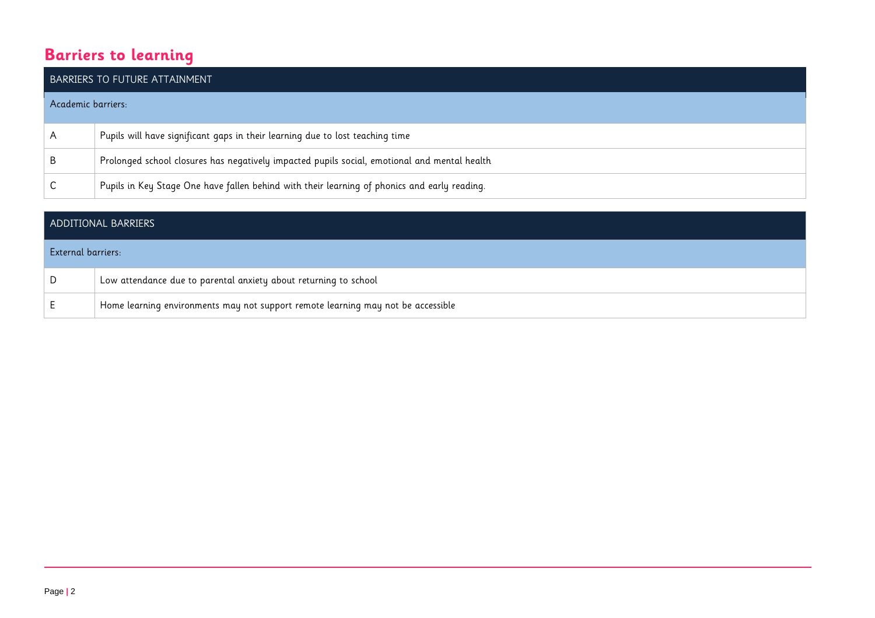## **Barriers to learning**

|                    | <b>BARRIERS TO FUTURE ATTAINMENT</b>                                                         |
|--------------------|----------------------------------------------------------------------------------------------|
| Academic barriers: |                                                                                              |
| A                  | Pupils will have significant gaps in their learning due to lost teaching time                |
| B.                 | Prolonged school closures has negatively impacted pupils social, emotional and mental health |
|                    | Pupils in Key Stage One have fallen behind with their learning of phonics and early reading. |

| ADDITIONAL BARRIERS |                                                                                  |  |  |
|---------------------|----------------------------------------------------------------------------------|--|--|
| External barriers:  |                                                                                  |  |  |
| D                   | Low attendance due to parental anxiety about returning to school                 |  |  |
| E                   | Home learning environments may not support remote learning may not be accessible |  |  |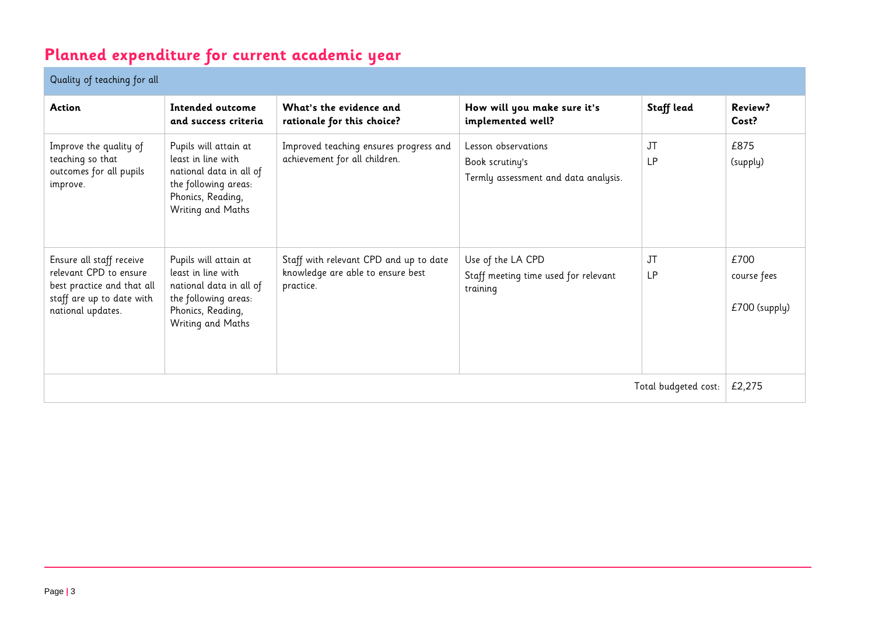# **Planned expenditure for current academic year**

### Quality of teaching for all

| Action                                                                                                                             | Intended outcome<br>and success criteria                                                                                                 | What's the evidence and<br>rationale for this choice?                                    | How will you make sure it's<br>implemented well?                               | Staff lead      | Review?<br>Cost?                     |
|------------------------------------------------------------------------------------------------------------------------------------|------------------------------------------------------------------------------------------------------------------------------------------|------------------------------------------------------------------------------------------|--------------------------------------------------------------------------------|-----------------|--------------------------------------|
| Improve the quality of<br>teaching so that<br>outcomes for all pupils<br>improve.                                                  | Pupils will attain at<br>least in line with<br>national data in all of<br>the following areas:<br>Phonics, Reading,<br>Writing and Maths | Improved teaching ensures progress and<br>achievement for all children.                  | Lesson observations<br>Book scrutiny's<br>Termly assessment and data analysis. | JT<br><b>LP</b> | £875<br>(supply)                     |
| Ensure all staff receive<br>relevant CPD to ensure<br>best practice and that all<br>staff are up to date with<br>national updates. | Pupils will attain at<br>least in line with<br>national data in all of<br>the following areas:<br>Phonics, Reading,<br>Writing and Maths | Staff with relevant CPD and up to date<br>knowledge are able to ensure best<br>practice. | Use of the LA CPD<br>Staff meeting time used for relevant<br>training          | JT<br><b>LP</b> | £700<br>course fees<br>£700 (supply) |
| Total budgeted cost:                                                                                                               |                                                                                                                                          |                                                                                          |                                                                                | £2,275          |                                      |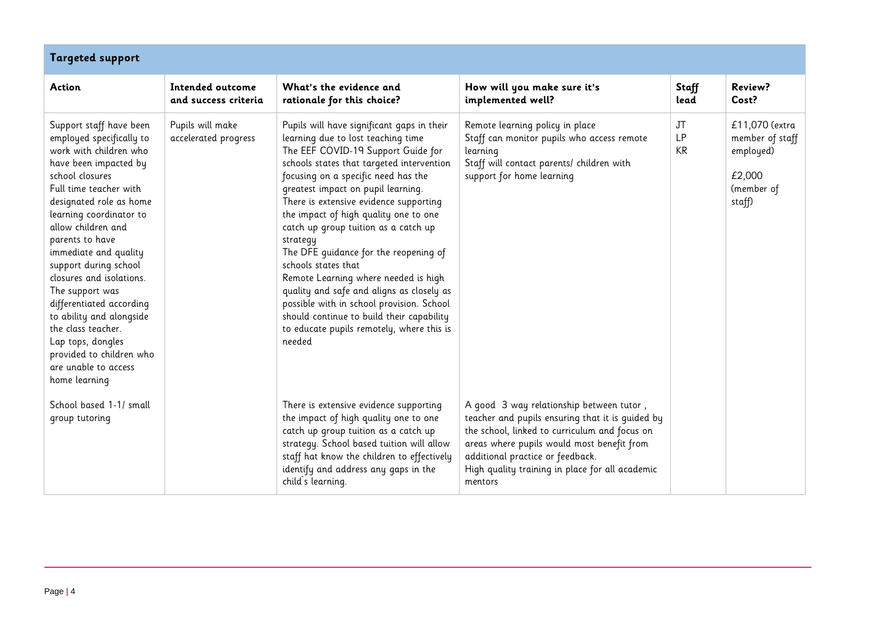| <b>Targeted support</b>                                                                                                                                                                                                                                                                                                                                                                                                                                                                                                     |                                          |                                                                                                                                                                                                                                                                                                                                                                                                                                                                                                                                                                                                                                                                                               |                                                                                                                                                                                                                                                                                               |                              |                                                                                  |  |  |
|-----------------------------------------------------------------------------------------------------------------------------------------------------------------------------------------------------------------------------------------------------------------------------------------------------------------------------------------------------------------------------------------------------------------------------------------------------------------------------------------------------------------------------|------------------------------------------|-----------------------------------------------------------------------------------------------------------------------------------------------------------------------------------------------------------------------------------------------------------------------------------------------------------------------------------------------------------------------------------------------------------------------------------------------------------------------------------------------------------------------------------------------------------------------------------------------------------------------------------------------------------------------------------------------|-----------------------------------------------------------------------------------------------------------------------------------------------------------------------------------------------------------------------------------------------------------------------------------------------|------------------------------|----------------------------------------------------------------------------------|--|--|
| <b>Action</b>                                                                                                                                                                                                                                                                                                                                                                                                                                                                                                               | Intended outcome<br>and success criteria | What's the evidence and<br>rationale for this choice?                                                                                                                                                                                                                                                                                                                                                                                                                                                                                                                                                                                                                                         | How will you make sure it's<br>implemented well?                                                                                                                                                                                                                                              | <b>Staff</b><br>lead         | Review?<br>Cost?                                                                 |  |  |
| Support staff have been<br>employed specifically to<br>work with children who<br>have been impacted by<br>school closures<br>Full time teacher with<br>designated role as home<br>learning coordinator to<br>allow children and<br>parents to have<br>immediate and quality<br>support during school<br>closures and isolations.<br>The support was<br>differentiated according<br>to ability and alongside<br>the class teacher.<br>Lap tops, dongles<br>provided to children who<br>are unable to access<br>home learning | Pupils will make<br>accelerated progress | Pupils will have significant gaps in their<br>learning due to lost teaching time<br>The EEF COVID-19 Support Guide for<br>schools states that targeted intervention<br>focusing on a specific need has the<br>greatest impact on pupil learning.<br>There is extensive evidence supporting<br>the impact of high quality one to one<br>catch up group tuition as a catch up<br>strategy<br>The DFE guidance for the reopening of<br>schools states that<br>Remote Learning where needed is high<br>quality and safe and aligns as closely as<br>possible with in school provision. School<br>should continue to build their capability<br>to educate pupils remotely, where this is<br>needed | Remote learning policy in place<br>Staff can monitor pupils who access remote<br>learning<br>Staff will contact parents/ children with<br>support for home learning                                                                                                                           | JT<br><b>LP</b><br><b>KR</b> | £11,070 (extra<br>member of staff<br>employed)<br>£2,000<br>(member of<br>staff) |  |  |
| School based 1-1/ small<br>group tutoring                                                                                                                                                                                                                                                                                                                                                                                                                                                                                   |                                          | There is extensive evidence supporting<br>the impact of high quality one to one<br>catch up group tuition as a catch up<br>strategy. School based tuition will allow<br>staff hat know the children to effectively<br>identify and address any gaps in the<br>child's learning.                                                                                                                                                                                                                                                                                                                                                                                                               | A good 3 way relationship between tutor,<br>teacher and pupils ensuring that it is guided by<br>the school, linked to curriculum and focus on<br>areas where pupils would most benefit from<br>additional practice or feedback.<br>High quality training in place for all academic<br>mentors |                              |                                                                                  |  |  |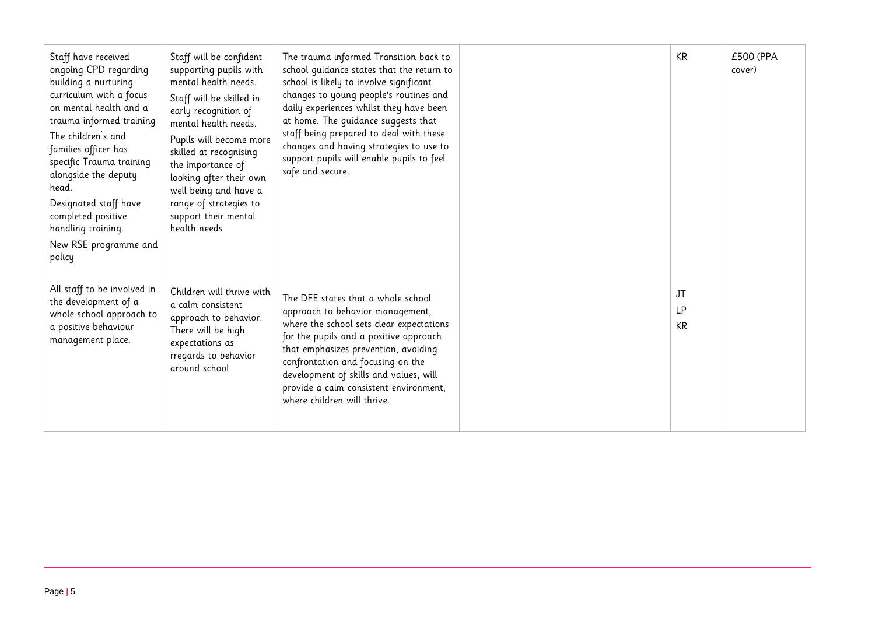| Staff have received<br>ongoing CPD regarding<br>building a nurturing<br>curriculum with a focus<br>on mental health and a<br>trauma informed training<br>The children's and<br>families officer has<br>specific Trauma training<br>alongside the deputy<br>head.<br>Designated staff have<br>completed positive<br>handling training.<br>New RSE programme and<br>policy | Staff will be confident<br>supporting pupils with<br>mental health needs.<br>Staff will be skilled in<br>early recognition of<br>mental health needs.<br>Pupils will become more<br>skilled at recognising<br>the importance of<br>looking after their own<br>well being and have a<br>range of strategies to<br>support their mental<br>health needs | The trauma informed Transition back to<br>school guidance states that the return to<br>school is likely to involve significant<br>changes to young people's routines and<br>daily experiences whilst they have been<br>at home. The guidance suggests that<br>staff being prepared to deal with these<br>changes and having strategies to use to<br>support pupils will enable pupils to feel<br>safe and secure. | KR                    | £500 (PPA<br>cover) |
|--------------------------------------------------------------------------------------------------------------------------------------------------------------------------------------------------------------------------------------------------------------------------------------------------------------------------------------------------------------------------|-------------------------------------------------------------------------------------------------------------------------------------------------------------------------------------------------------------------------------------------------------------------------------------------------------------------------------------------------------|-------------------------------------------------------------------------------------------------------------------------------------------------------------------------------------------------------------------------------------------------------------------------------------------------------------------------------------------------------------------------------------------------------------------|-----------------------|---------------------|
| All staff to be involved in<br>the development of a<br>whole school approach to<br>a positive behaviour<br>management place.                                                                                                                                                                                                                                             | Children will thrive with<br>a calm consistent<br>approach to behavior.<br>There will be high<br>expectations as<br>rregards to behavior<br>around school                                                                                                                                                                                             | The DFE states that a whole school<br>approach to behavior management,<br>where the school sets clear expectations<br>for the pupils and a positive approach<br>that emphasizes prevention, avoiding<br>confrontation and focusing on the<br>development of skills and values, will<br>provide a calm consistent environment,<br>where children will thrive.                                                      | JT<br><b>LP</b><br>KR |                     |